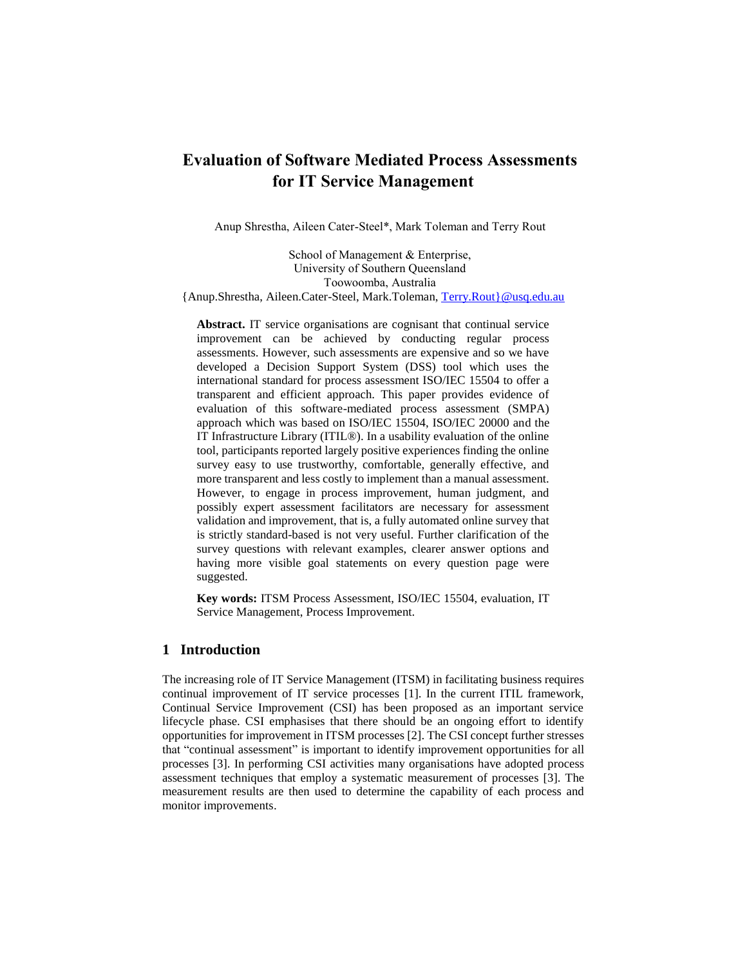# **Evaluation of Software Mediated Process Assessments for IT Service Management**

Anup Shrestha, Aileen Cater-Steel\*, Mark Toleman and Terry Rout

School of Management & Enterprise, University of Southern Queensland Toowoomba, Australia {Anup.Shrestha, Aileen.Cater-Steel, Mark.Toleman, [Terry.Rout}@usq.edu.au](mailto:Terry.Rout%7d@usq.edu.au)

**Abstract.** IT service organisations are cognisant that continual service improvement can be achieved by conducting regular process assessments. However, such assessments are expensive and so we have developed a Decision Support System (DSS) tool which uses the international standard for process assessment ISO/IEC 15504 to offer a transparent and efficient approach. This paper provides evidence of evaluation of this software-mediated process assessment (SMPA) approach which was based on ISO/IEC 15504, ISO/IEC 20000 and the IT Infrastructure Library (ITIL®). In a usability evaluation of the online tool, participants reported largely positive experiences finding the online survey easy to use trustworthy, comfortable, generally effective, and more transparent and less costly to implement than a manual assessment. However, to engage in process improvement, human judgment, and possibly expert assessment facilitators are necessary for assessment validation and improvement, that is, a fully automated online survey that is strictly standard-based is not very useful. Further clarification of the survey questions with relevant examples, clearer answer options and having more visible goal statements on every question page were suggested.

**Key words:** ITSM Process Assessment, ISO/IEC 15504, evaluation, IT Service Management, Process Improvement.

# **1 Introduction**

The increasing role of IT Service Management (ITSM) in facilitating business requires continual improvement of IT service processes [\[1\]](#page-10-0). In the current ITIL framework, Continual Service Improvement (CSI) has been proposed as an important service lifecycle phase. CSI emphasises that there should be an ongoing effort to identify opportunities for improvement in ITSM processes [\[2\]](#page-10-1). The CSI concept further stresses that "continual assessment" is important to identify improvement opportunities for all processes [\[3\]](#page-10-2). In performing CSI activities many organisations have adopted process assessment techniques that employ a systematic measurement of processes [\[3\]](#page-10-2). The measurement results are then used to determine the capability of each process and monitor improvements.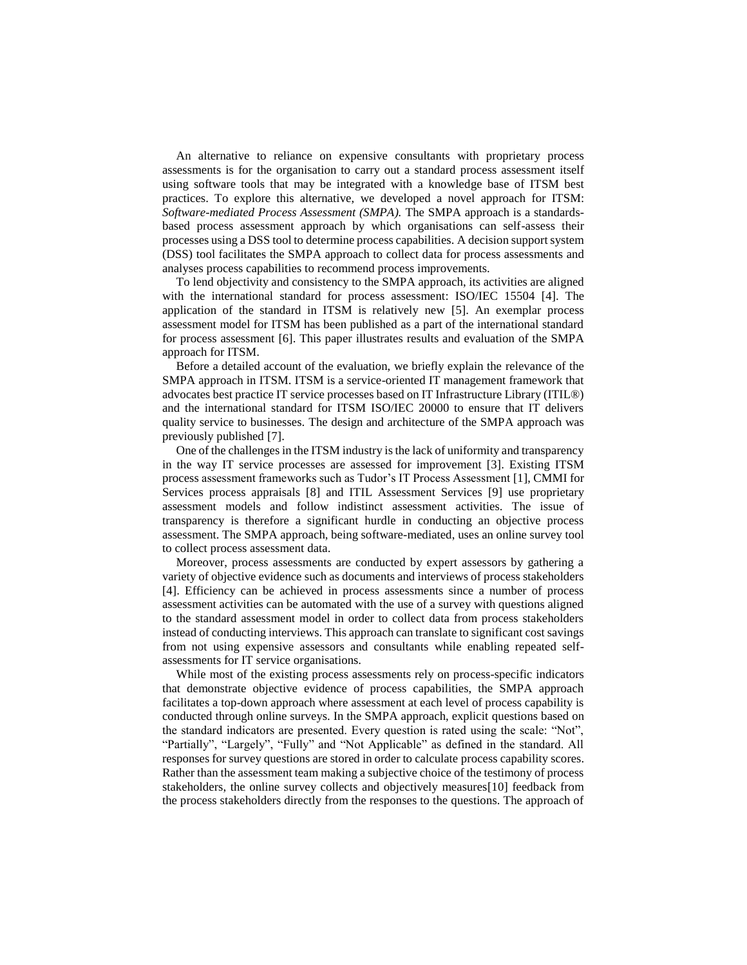An alternative to reliance on expensive consultants with proprietary process assessments is for the organisation to carry out a standard process assessment itself using software tools that may be integrated with a knowledge base of ITSM best practices. To explore this alternative, we developed a novel approach for ITSM: *Software-mediated Process Assessment (SMPA).* The SMPA approach is a standardsbased process assessment approach by which organisations can self-assess their processes using a DSS tool to determine process capabilities. A decision support system (DSS) tool facilitates the SMPA approach to collect data for process assessments and analyses process capabilities to recommend process improvements.

To lend objectivity and consistency to the SMPA approach, its activities are aligned with the international standard for process assessment: ISO/IEC 15504 [\[4\]](#page-10-3). The application of the standard in ITSM is relatively new [\[5\]](#page-10-4). An exemplar process assessment model for ITSM has been published as a part of the international standard for process assessment [\[6\]](#page-10-5). This paper illustrates results and evaluation of the SMPA approach for ITSM.

Before a detailed account of the evaluation, we briefly explain the relevance of the SMPA approach in ITSM. ITSM is a service-oriented IT management framework that advocates best practice IT service processes based on IT Infrastructure Library (ITIL®) and the international standard for ITSM ISO/IEC 20000 to ensure that IT delivers quality service to businesses. The design and architecture of the SMPA approach was previously published [\[7\]](#page-11-0).

One of the challenges in the ITSM industry is the lack of uniformity and transparency in the way IT service processes are assessed for improvement [\[3\]](#page-10-2). Existing ITSM process assessment frameworks such as Tudor's IT Process Assessment [\[1\]](#page-10-0), CMMI for Services process appraisals [\[8\]](#page-11-1) and ITIL Assessment Services [\[9\]](#page-11-2) use proprietary assessment models and follow indistinct assessment activities. The issue of transparency is therefore a significant hurdle in conducting an objective process assessment. The SMPA approach, being software-mediated, uses an online survey tool to collect process assessment data.

Moreover, process assessments are conducted by expert assessors by gathering a variety of objective evidence such as documents and interviews of process stakeholders [\[4\]](#page-10-3). Efficiency can be achieved in process assessments since a number of process assessment activities can be automated with the use of a survey with questions aligned to the standard assessment model in order to collect data from process stakeholders instead of conducting interviews. This approach can translate to significant cost savings from not using expensive assessors and consultants while enabling repeated selfassessments for IT service organisations.

While most of the existing process assessments rely on process-specific indicators that demonstrate objective evidence of process capabilities, the SMPA approach facilitates a top-down approach where assessment at each level of process capability is conducted through online surveys. In the SMPA approach, explicit questions based on the standard indicators are presented. Every question is rated using the scale: "Not", "Partially", "Largely", "Fully" and "Not Applicable" as defined in the standard. All responses for survey questions are stored in order to calculate process capability scores. Rather than the assessment team making a subjective choice of the testimony of process stakeholders, the online survey collects and objectively measures[\[10\]](#page-11-3) feedback from the process stakeholders directly from the responses to the questions. The approach of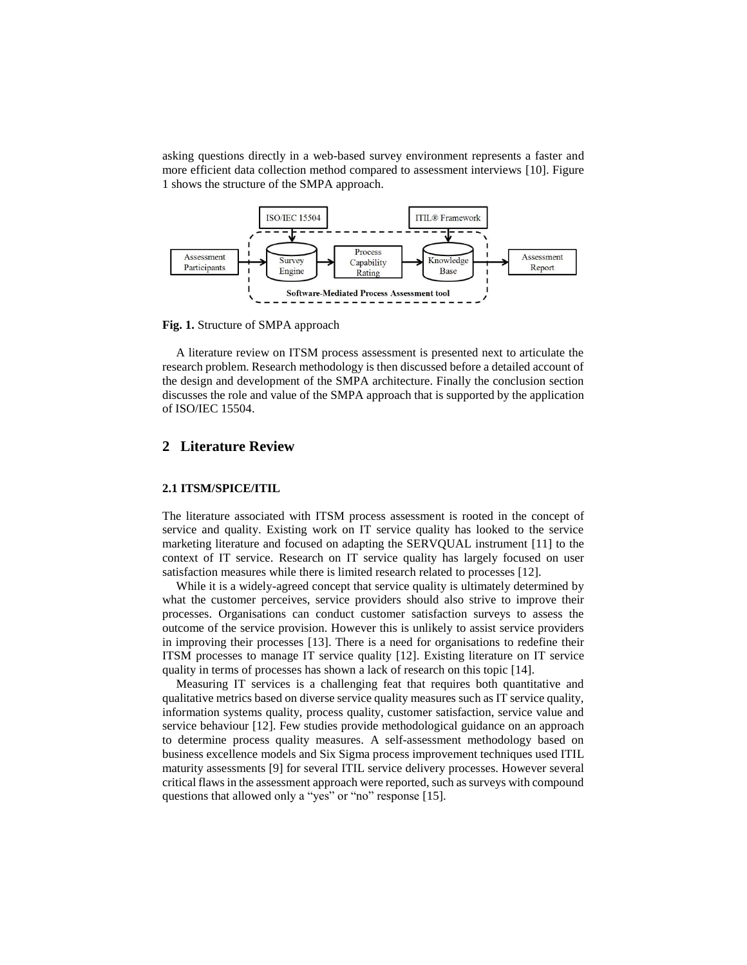asking questions directly in a web-based survey environment represents a faster and more efficient data collection method compared to assessment interviews [\[10\]](#page-11-3). Figure 1 shows the structure of the SMPA approach.



**Fig. 1.** Structure of SMPA approach

A literature review on ITSM process assessment is presented next to articulate the research problem. Research methodology is then discussed before a detailed account of the design and development of the SMPA architecture. Finally the conclusion section discusses the role and value of the SMPA approach that is supported by the application of ISO/IEC 15504.

### **2 Literature Review**

#### **2.1 ITSM/SPICE/ITIL**

The literature associated with ITSM process assessment is rooted in the concept of service and quality. Existing work on IT service quality has looked to the service marketing literature and focused on adapting the SERVQUAL instrument [\[11\]](#page-11-4) to the context of IT service. Research on IT service quality has largely focused on user satisfaction measures while there is limited research related to processes [\[12\]](#page-11-5).

While it is a widely-agreed concept that service quality is ultimately determined by what the customer perceives, service providers should also strive to improve their processes. Organisations can conduct customer satisfaction surveys to assess the outcome of the service provision. However this is unlikely to assist service providers in improving their processes [\[13\]](#page-11-6). There is a need for organisations to redefine their ITSM processes to manage IT service quality [\[12\]](#page-11-5). Existing literature on IT service quality in terms of processes has shown a lack of research on this topic [\[14\]](#page-11-7).

Measuring IT services is a challenging feat that requires both quantitative and qualitative metrics based on diverse service quality measures such as IT service quality, information systems quality, process quality, customer satisfaction, service value and service behaviour [\[12\]](#page-11-5). Few studies provide methodological guidance on an approach to determine process quality measures. A self-assessment methodology based on business excellence models and Six Sigma process improvement techniques used ITIL maturity assessments [\[9\]](#page-11-2) for several ITIL service delivery processes. However several critical flaws in the assessment approach were reported, such as surveys with compound questions that allowed only a "yes" or "no" response [\[15\]](#page-11-8).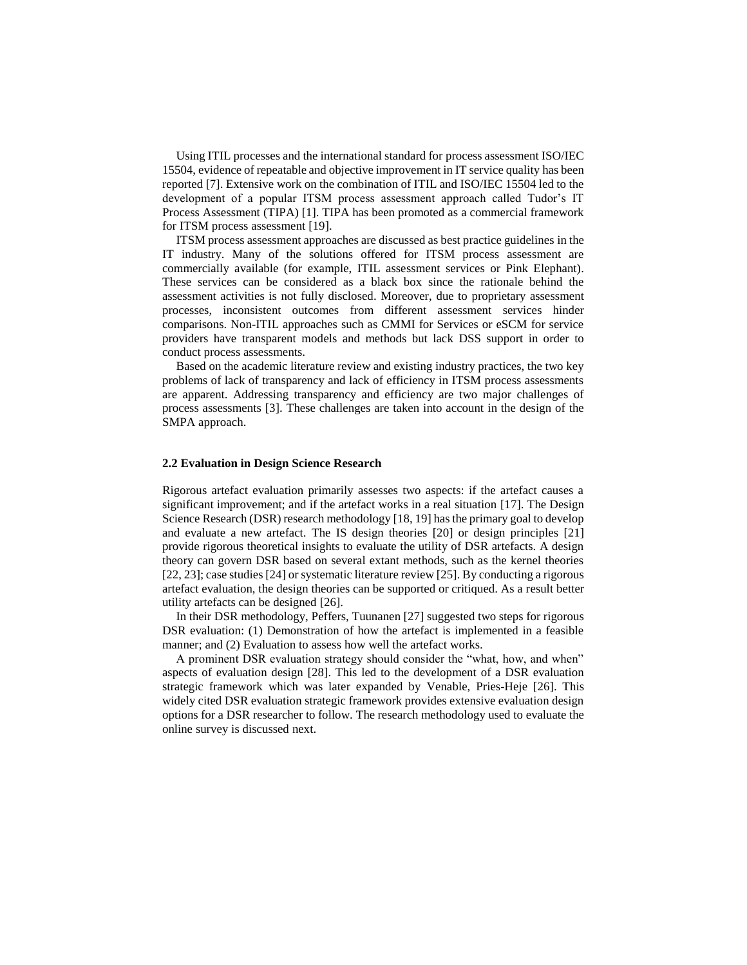Using ITIL processes and the international standard for process assessment ISO/IEC 15504, evidence of repeatable and objective improvement in IT service quality has been reported [7]. Extensive work on the combination of ITIL and ISO/IEC 15504 led to the development of a popular ITSM process assessment approach called Tudor's IT Process Assessment (TIPA) [\[1\]](#page-10-0). TIPA has been promoted as a commercial framework for ITSM process assessment [19].

ITSM process assessment approaches are discussed as best practice guidelines in the IT industry. Many of the solutions offered for ITSM process assessment are commercially available (for example, ITIL assessment services or Pink Elephant). These services can be considered as a black box since the rationale behind the assessment activities is not fully disclosed. Moreover, due to proprietary assessment processes, inconsistent outcomes from different assessment services hinder comparisons. Non-ITIL approaches such as CMMI for Services or eSCM for service providers have transparent models and methods but lack DSS support in order to conduct process assessments.

Based on the academic literature review and existing industry practices, the two key problems of lack of transparency and lack of efficiency in ITSM process assessments are apparent. Addressing transparency and efficiency are two major challenges of process assessments [\[3\]](#page-10-2). These challenges are taken into account in the design of the SMPA approach.

#### **2.2 Evaluation in Design Science Research**

Rigorous artefact evaluation primarily assesses two aspects: if the artefact causes a significant improvement; and if the artefact works in a real situation [\[17\]](#page-11-9). The Design Science Research (DSR) research methodology [\[18,](#page-11-10) [19\]](#page-11-11) has the primary goal to develop and evaluate a new artefact. The IS design theories [\[20\]](#page-11-12) or design principles [\[21\]](#page-11-13) provide rigorous theoretical insights to evaluate the utility of DSR artefacts. A design theory can govern DSR based on several extant methods, such as the kernel theories [\[22,](#page-11-14) [23\]](#page-12-0); case studies [\[24\]](#page-12-1) or systematic literature review [\[25\]](#page-12-2). By conducting a rigorous artefact evaluation, the design theories can be supported or critiqued. As a result better utility artefacts can be designed [\[26\]](#page-12-3).

In their DSR methodology, [Peffers, Tuunanen \[27\]](#page-12-4) suggested two steps for rigorous DSR evaluation: (1) Demonstration of how the artefact is implemented in a feasible manner; and (2) Evaluation to assess how well the artefact works.

A prominent DSR evaluation strategy should consider the "what, how, and when" aspects of evaluation design [\[28\]](#page-12-5). This led to the development of a DSR evaluation strategic framework which was later expanded by [Venable, Pries-Heje \[26\].](#page-12-3) This widely cited DSR evaluation strategic framework provides extensive evaluation design options for a DSR researcher to follow. The research methodology used to evaluate the online survey is discussed next.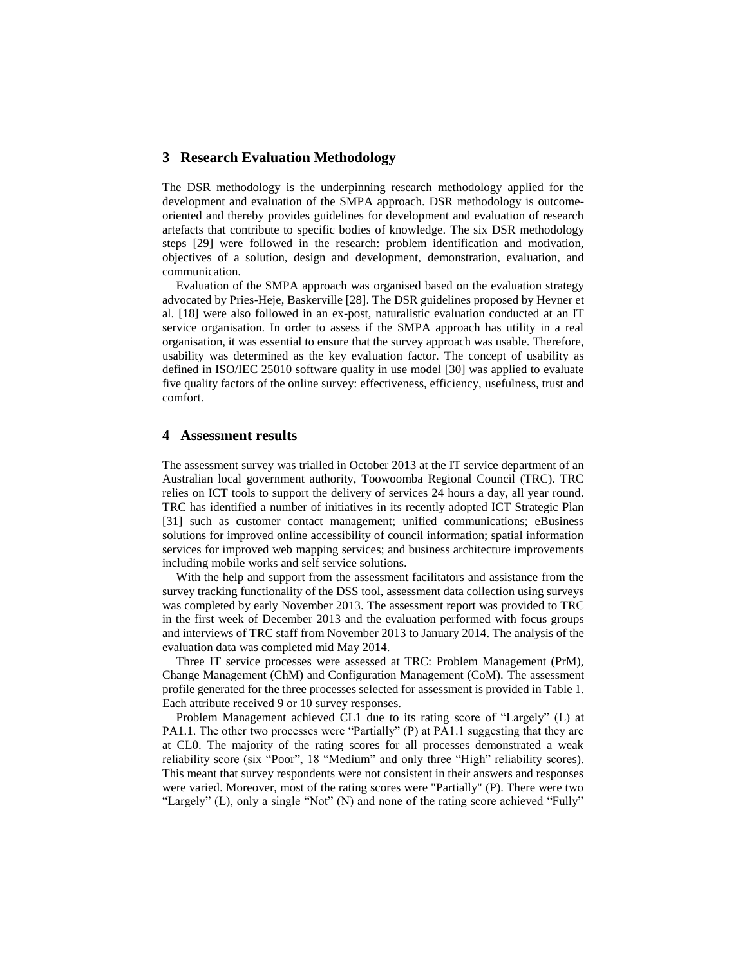## **3 Research Evaluation Methodology**

The DSR methodology is the underpinning research methodology applied for the development and evaluation of the SMPA approach. DSR methodology is outcomeoriented and thereby provides guidelines for development and evaluation of research artefacts that contribute to specific bodies of knowledge. The six DSR methodology steps [\[29\]](#page-12-6) were followed in the research: problem identification and motivation, objectives of a solution, design and development, demonstration, evaluation, and communication.

Evaluation of the SMPA approach was organised based on the evaluation strategy advocated b[y Pries-Heje, Baskerville \[28\].](#page-12-5) The DSR guidelines proposed by Hevner et al. [\[18\]](#page-11-10) were also followed in an ex-post, naturalistic evaluation conducted at an IT service organisation. In order to assess if the SMPA approach has utility in a real organisation, it was essential to ensure that the survey approach was usable. Therefore, usability was determined as the key evaluation factor. The concept of usability as defined in ISO/IEC 25010 software quality in use model [\[30\]](#page-12-7) was applied to evaluate five quality factors of the online survey: effectiveness, efficiency, usefulness, trust and comfort.

#### **4 Assessment results**

The assessment survey was trialled in October 2013 at the IT service department of an Australian local government authority, Toowoomba Regional Council (TRC). TRC relies on ICT tools to support the delivery of services 24 hours a day, all year round. TRC has identified a number of initiatives in its recently adopted ICT Strategic Plan [\[31\]](#page-12-8) such as customer contact management; unified communications; eBusiness solutions for improved online accessibility of council information; spatial information services for improved web mapping services; and business architecture improvements including mobile works and self service solutions.

With the help and support from the assessment facilitators and assistance from the survey tracking functionality of the DSS tool, assessment data collection using surveys was completed by early November 2013. The assessment report was provided to TRC in the first week of December 2013 and the evaluation performed with focus groups and interviews of TRC staff from November 2013 to January 2014. The analysis of the evaluation data was completed mid May 2014.

Three IT service processes were assessed at TRC: Problem Management (PrM), Change Management (ChM) and Configuration Management (CoM). The assessment profile generated for the three processes selected for assessment is provided in Table 1. Each attribute received 9 or 10 survey responses.

Problem Management achieved CL1 due to its rating score of "Largely" (L) at PA1.1. The other two processes were "Partially" (P) at PA1.1 suggesting that they are at CL0. The majority of the rating scores for all processes demonstrated a weak reliability score (six "Poor", 18 "Medium" and only three "High" reliability scores). This meant that survey respondents were not consistent in their answers and responses were varied. Moreover, most of the rating scores were "Partially" (P). There were two "Largely" (L), only a single "Not" (N) and none of the rating score achieved "Fully"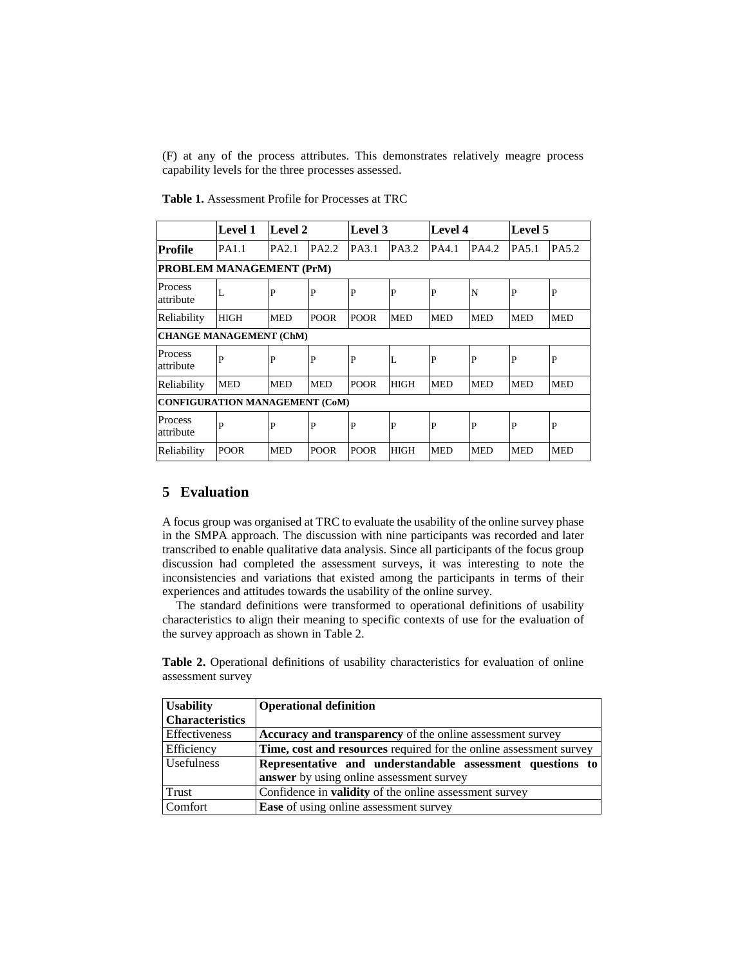(F) at any of the process attributes. This demonstrates relatively meagre process capability levels for the three processes assessed.

|                                       | <b>Level 1</b> | Level 2    |             | Level 3     |             | <b>Level 4</b> |            | Level 5      |              |
|---------------------------------------|----------------|------------|-------------|-------------|-------------|----------------|------------|--------------|--------------|
| Profile                               | PA1.1          | PA2.1      | PA2.2       | PA3.1       | PA3.2       | PA4.1          | PA4.2      | <b>PA5.1</b> | PA5.2        |
| <b>PROBLEM MANAGEMENT (PrM)</b>       |                |            |             |             |             |                |            |              |              |
| Process<br>attribute                  | L              | P          | P           | P           | P           | P              | N          | $\mathbf P$  | $\mathbf{P}$ |
| Reliability                           | HIGH           | <b>MED</b> | <b>POOR</b> | <b>POOR</b> | <b>MED</b>  | <b>MED</b>     | <b>MED</b> | <b>MED</b>   | <b>MED</b>   |
| <b>CHANGE MANAGEMENT (ChM)</b>        |                |            |             |             |             |                |            |              |              |
| Process<br>attribute                  | P              | P          | P           | P           |             | P              | P          | P            | P            |
| Reliability                           | <b>MED</b>     | <b>MED</b> | <b>MED</b>  | <b>POOR</b> | <b>HIGH</b> | <b>MED</b>     | <b>MED</b> | <b>MED</b>   | <b>MED</b>   |
| <b>CONFIGURATION MANAGEMENT (CoM)</b> |                |            |             |             |             |                |            |              |              |
| Process<br>attribute                  | P              | P          | P           | P           | P           | P              | P          | P            | $\mathbf P$  |
| Reliability                           | <b>POOR</b>    | <b>MED</b> | <b>POOR</b> | <b>POOR</b> | <b>HIGH</b> | <b>MED</b>     | <b>MED</b> | <b>MED</b>   | <b>MED</b>   |

**Table 1.** Assessment Profile for Processes at TRC

## **5 Evaluation**

A focus group was organised at TRC to evaluate the usability of the online survey phase in the SMPA approach. The discussion with nine participants was recorded and later transcribed to enable qualitative data analysis. Since all participants of the focus group discussion had completed the assessment surveys, it was interesting to note the inconsistencies and variations that existed among the participants in terms of their experiences and attitudes towards the usability of the online survey.

The standard definitions were transformed to operational definitions of usability characteristics to align their meaning to specific contexts of use for the evaluation of the survey approach as shown in Table 2.

**Table 2.** Operational definitions of usability characteristics for evaluation of online assessment survey

| <b>Usability</b>       | <b>Operational definition</b>                                      |
|------------------------|--------------------------------------------------------------------|
| <b>Characteristics</b> |                                                                    |
| Effectiveness          | <b>Accuracy and transparency</b> of the online assessment survey   |
| Efficiency             | Time, cost and resources required for the online assessment survey |
| Usefulness             | Representative and understandable assessment questions to          |
|                        | answer by using online assessment survey                           |
| Trust                  | Confidence in validity of the online assessment survey             |
| Comfort                | Ease of using online assessment survey                             |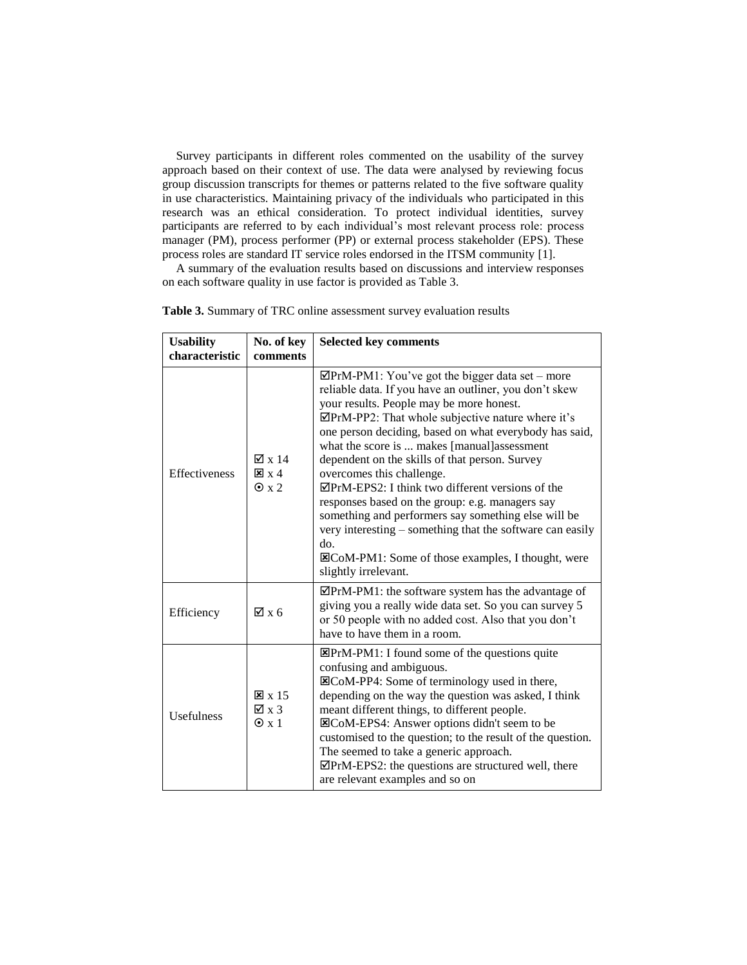Survey participants in different roles commented on the usability of the survey approach based on their context of use. The data were analysed by reviewing focus group discussion transcripts for themes or patterns related to the five software quality in use characteristics. Maintaining privacy of the individuals who participated in this research was an ethical consideration. To protect individual identities, survey participants are referred to by each individual's most relevant process role: process manager (PM), process performer (PP) or external process stakeholder (EPS). These process roles are standard IT service roles endorsed in the ITSM community [\[1\]](#page-10-0).

A summary of the evaluation results based on discussions and interview responses on each software quality in use factor is provided as Table 3.

| <b>Usability</b><br>characteristic | No. of key<br>comments                                       | <b>Selected key comments</b>                                                                                                                                                                                                                                                                                                                                                                                                                                                                                                                                                                                                                                                                                                                          |
|------------------------------------|--------------------------------------------------------------|-------------------------------------------------------------------------------------------------------------------------------------------------------------------------------------------------------------------------------------------------------------------------------------------------------------------------------------------------------------------------------------------------------------------------------------------------------------------------------------------------------------------------------------------------------------------------------------------------------------------------------------------------------------------------------------------------------------------------------------------------------|
| <b>Effectiveness</b>               | $\sqrt{2} \times 14$<br>$\mathbf{x} \times 4$<br>$\odot$ x 2 | $\mathbb{Z}$ PrM-PM1: You've got the bigger data set – more<br>reliable data. If you have an outliner, you don't skew<br>your results. People may be more honest.<br>⊠PrM-PP2: That whole subjective nature where it's<br>one person deciding, based on what everybody has said,<br>what the score is  makes [manual]assessment<br>dependent on the skills of that person. Survey<br>overcomes this challenge.<br>$\overline{\mathcal{Q}}$ PrM-EPS2: I think two different versions of the<br>responses based on the group: e.g. managers say<br>something and performers say something else will be<br>very interesting – something that the software can easily<br>do.<br>⊠CoM-PM1: Some of those examples, I thought, were<br>slightly irrelevant. |
| Efficiency                         | $\boxtimes$ x 6                                              | $\overline{\mathbf{\triangle P}}$ PrM-PM1: the software system has the advantage of<br>giving you a really wide data set. So you can survey 5<br>or 50 people with no added cost. Also that you don't<br>have to have them in a room.                                                                                                                                                                                                                                                                                                                                                                                                                                                                                                                 |
| <b>Usefulness</b>                  | $\mathbf{X} \times 15$<br>$\boxtimes$ x 3<br>$\odot$ x 1     | $\Xi$ PrM-PM1: I found some of the questions quite<br>confusing and ambiguous.<br><b>ECoM-PP4:</b> Some of terminology used in there,<br>depending on the way the question was asked, I think<br>meant different things, to different people.<br><b>ECoM-EPS4:</b> Answer options didn't seem to be<br>customised to the question; to the result of the question.<br>The seemed to take a generic approach.<br>⊠PrM-EPS2: the questions are structured well, there<br>are relevant examples and so on                                                                                                                                                                                                                                                 |

**Table 3.** Summary of TRC online assessment survey evaluation results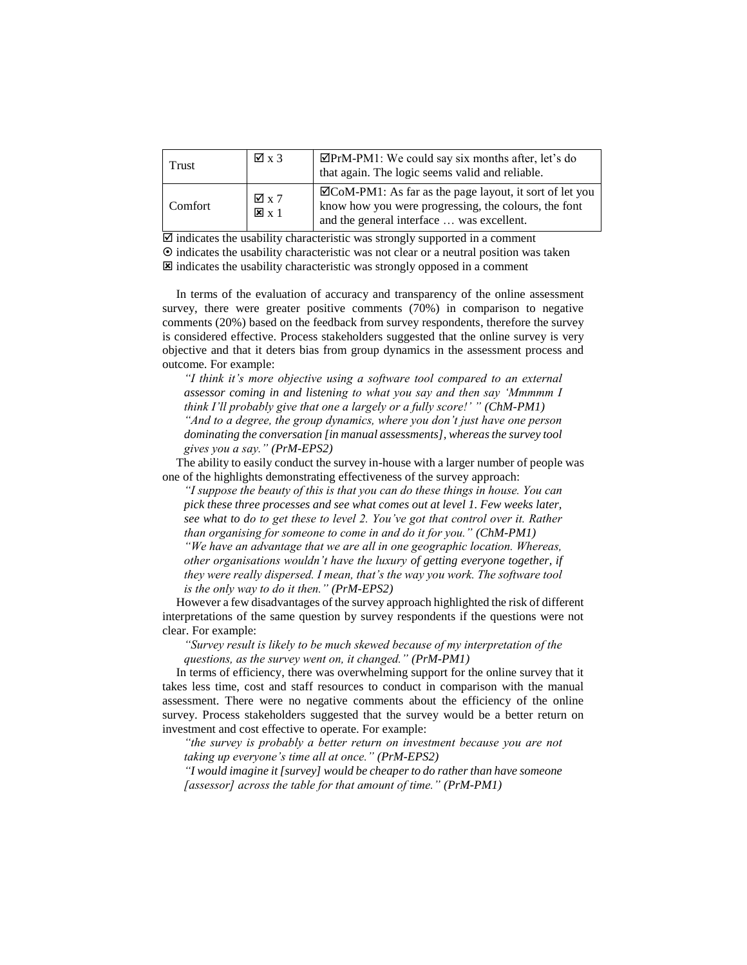| Trust   | $\boxtimes$ x 3                          | $\mathbf{\nabla}$ PrM-PM1: We could say six months after, let's do<br>that again. The logic seems valid and reliable.                                             |
|---------|------------------------------------------|-------------------------------------------------------------------------------------------------------------------------------------------------------------------|
| Comfort | $\boxtimes$ x 7<br>$\mathbf{X} \times 1$ | $\Xi$ CoM-PM1: As far as the page layout, it sort of let you<br>know how you were progressing, the colours, the font<br>and the general interface  was excellent. |

 $\overline{\mathcal{Q}}$  indicates the usability characteristic was strongly supported in a comment  $\odot$  indicates the usability characteristic was not clear or a neutral position was taken  $\boxtimes$  indicates the usability characteristic was strongly opposed in a comment

In terms of the evaluation of accuracy and transparency of the online assessment survey, there were greater positive comments (70%) in comparison to negative comments (20%) based on the feedback from survey respondents, therefore the survey is considered effective. Process stakeholders suggested that the online survey is very objective and that it deters bias from group dynamics in the assessment process and outcome. For example:

*"I think it's more objective using a software tool compared to an external assessor coming in and listening to what you say and then say 'Mmmmm I think I'll probably give that one a largely or a fully score!' " (ChM-PM1) "And to a degree, the group dynamics, where you don't just have one person dominating the conversation [in manual assessments], whereas the survey tool gives you a say." (PrM-EPS2)*

The ability to easily conduct the survey in-house with a larger number of people was one of the highlights demonstrating effectiveness of the survey approach:

*"I suppose the beauty of this is that you can do these things in house. You can pick these three processes and see what comes out at level 1. Few weeks later, see what to do to get these to level 2. You've got that control over it. Rather than organising for someone to come in and do it for you." (ChM-PM1) "We have an advantage that we are all in one geographic location. Whereas, other organisations wouldn't have the luxury of getting everyone together, if they were really dispersed. I mean, that's the way you work. The software tool is the only way to do it then." (PrM-EPS2)*

However a few disadvantages of the survey approach highlighted the risk of different interpretations of the same question by survey respondents if the questions were not clear. For example:

*"Survey result is likely to be much skewed because of my interpretation of the questions, as the survey went on, it changed." (PrM-PM1)*

In terms of efficiency, there was overwhelming support for the online survey that it takes less time, cost and staff resources to conduct in comparison with the manual assessment. There were no negative comments about the efficiency of the online survey. Process stakeholders suggested that the survey would be a better return on investment and cost effective to operate. For example:

*"the survey is probably a better return on investment because you are not taking up everyone's time all at once." (PrM-EPS2)*

*"I would imagine it [survey] would be cheaper to do rather than have someone [assessor] across the table for that amount of time." (PrM-PM1)*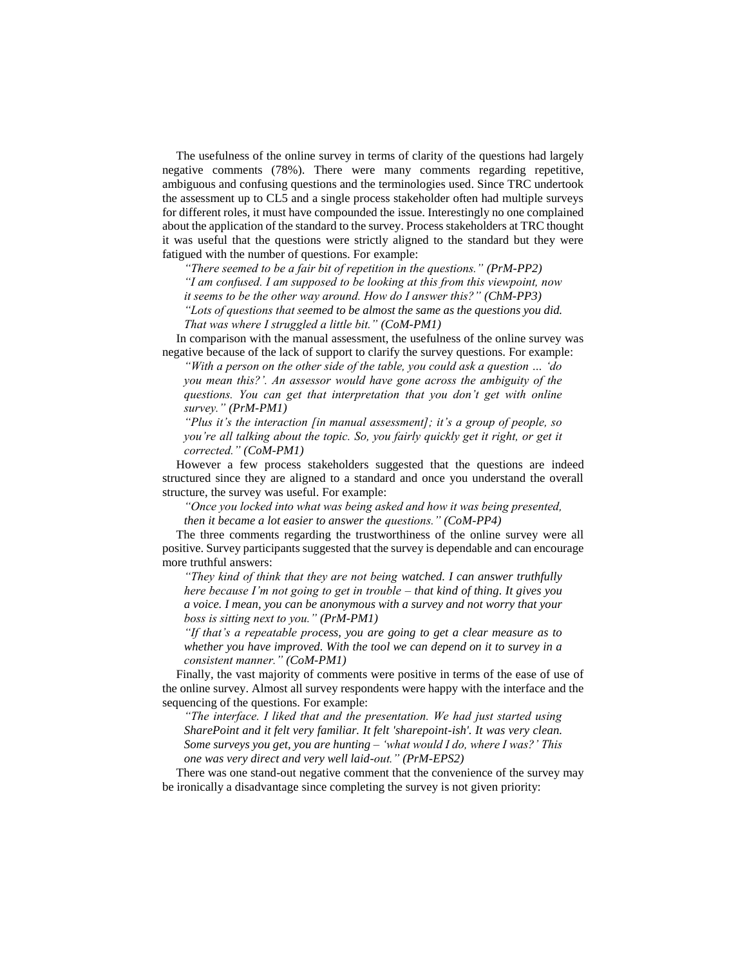The usefulness of the online survey in terms of clarity of the questions had largely negative comments (78%). There were many comments regarding repetitive, ambiguous and confusing questions and the terminologies used. Since TRC undertook the assessment up to CL5 and a single process stakeholder often had multiple surveys for different roles, it must have compounded the issue. Interestingly no one complained about the application of the standard to the survey. Process stakeholders at TRC thought it was useful that the questions were strictly aligned to the standard but they were fatigued with the number of questions. For example:

*"There seemed to be a fair bit of repetition in the questions." (PrM-PP2)*

*"I am confused. I am supposed to be looking at this from this viewpoint, now* 

*it seems to be the other way around. How do I answer this?" (ChM-PP3)*

*"Lots of questions that seemed to be almost the same as the questions you did. That was where I struggled a little bit." (CoM-PM1)*

In comparison with the manual assessment, the usefulness of the online survey was negative because of the lack of support to clarify the survey questions. For example:

*"With a person on the other side of the table, you could ask a question … 'do you mean this?'. An assessor would have gone across the ambiguity of the questions. You can get that interpretation that you don't get with online survey." (PrM-PM1)*

*"Plus it's the interaction [in manual assessment]; it's a group of people, so you're all talking about the topic. So, you fairly quickly get it right, or get it corrected." (CoM-PM1)*

However a few process stakeholders suggested that the questions are indeed structured since they are aligned to a standard and once you understand the overall structure, the survey was useful. For example:

*"Once you locked into what was being asked and how it was being presented, then it became a lot easier to answer the questions." (CoM-PP4)*

The three comments regarding the trustworthiness of the online survey were all positive. Survey participants suggested that the survey is dependable and can encourage more truthful answers:

*"They kind of think that they are not being watched. I can answer truthfully here because I'm not going to get in trouble – that kind of thing. It gives you a voice. I mean, you can be anonymous with a survey and not worry that your boss is sitting next to you." (PrM-PM1)*

*"If that's a repeatable process, you are going to get a clear measure as to whether you have improved. With the tool we can depend on it to survey in a consistent manner." (CoM-PM1)*

Finally, the vast majority of comments were positive in terms of the ease of use of the online survey. Almost all survey respondents were happy with the interface and the sequencing of the questions. For example:

*"The interface. I liked that and the presentation. We had just started using SharePoint and it felt very familiar. It felt 'sharepoint-ish'. It was very clean. Some surveys you get, you are hunting – 'what would I do, where I was?' This one was very direct and very well laid-out." (PrM-EPS2)*

There was one stand-out negative comment that the convenience of the survey may be ironically a disadvantage since completing the survey is not given priority: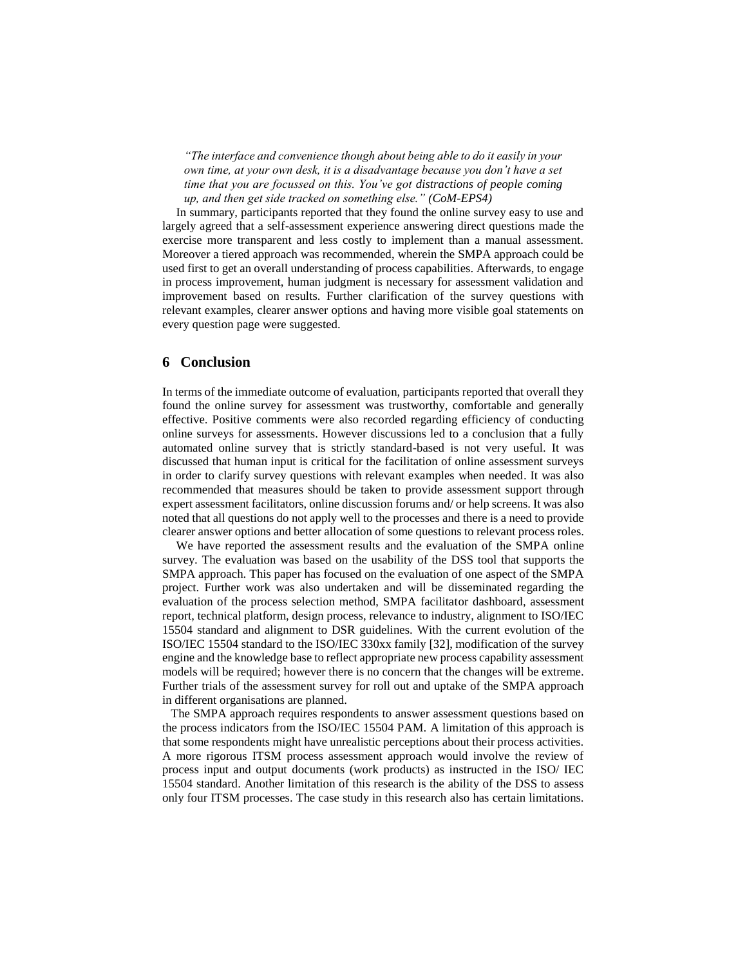*"The interface and convenience though about being able to do it easily in your own time, at your own desk, it is a disadvantage because you don't have a set time that you are focussed on this. You've got distractions of people coming up, and then get side tracked on something else." (CoM-EPS4)*

In summary, participants reported that they found the online survey easy to use and largely agreed that a self-assessment experience answering direct questions made the exercise more transparent and less costly to implement than a manual assessment. Moreover a tiered approach was recommended, wherein the SMPA approach could be used first to get an overall understanding of process capabilities. Afterwards, to engage in process improvement, human judgment is necessary for assessment validation and improvement based on results. Further clarification of the survey questions with relevant examples, clearer answer options and having more visible goal statements on every question page were suggested.

## **6 Conclusion**

In terms of the immediate outcome of evaluation, participants reported that overall they found the online survey for assessment was trustworthy, comfortable and generally effective. Positive comments were also recorded regarding efficiency of conducting online surveys for assessments. However discussions led to a conclusion that a fully automated online survey that is strictly standard-based is not very useful. It was discussed that human input is critical for the facilitation of online assessment surveys in order to clarify survey questions with relevant examples when needed. It was also recommended that measures should be taken to provide assessment support through expert assessment facilitators, online discussion forums and/ or help screens. It was also noted that all questions do not apply well to the processes and there is a need to provide clearer answer options and better allocation of some questions to relevant process roles.

We have reported the assessment results and the evaluation of the SMPA online survey. The evaluation was based on the usability of the DSS tool that supports the SMPA approach. This paper has focused on the evaluation of one aspect of the SMPA project. Further work was also undertaken and will be disseminated regarding the evaluation of the process selection method, SMPA facilitator dashboard, assessment report, technical platform, design process, relevance to industry, alignment to ISO/IEC 15504 standard and alignment to DSR guidelines. With the current evolution of the ISO/IEC 15504 standard to the ISO/IEC 330xx family [32], modification of the survey engine and the knowledge base to reflect appropriate new process capability assessment models will be required; however there is no concern that the changes will be extreme. Further trials of the assessment survey for roll out and uptake of the SMPA approach in different organisations are planned.

The SMPA approach requires respondents to answer assessment questions based on the process indicators from the ISO/IEC 15504 PAM. A limitation of this approach is that some respondents might have unrealistic perceptions about their process activities. A more rigorous ITSM process assessment approach would involve the review of process input and output documents (work products) as instructed in the ISO/ IEC 15504 standard. Another limitation of this research is the ability of the DSS to assess only four ITSM processes. The case study in this research also has certain limitations.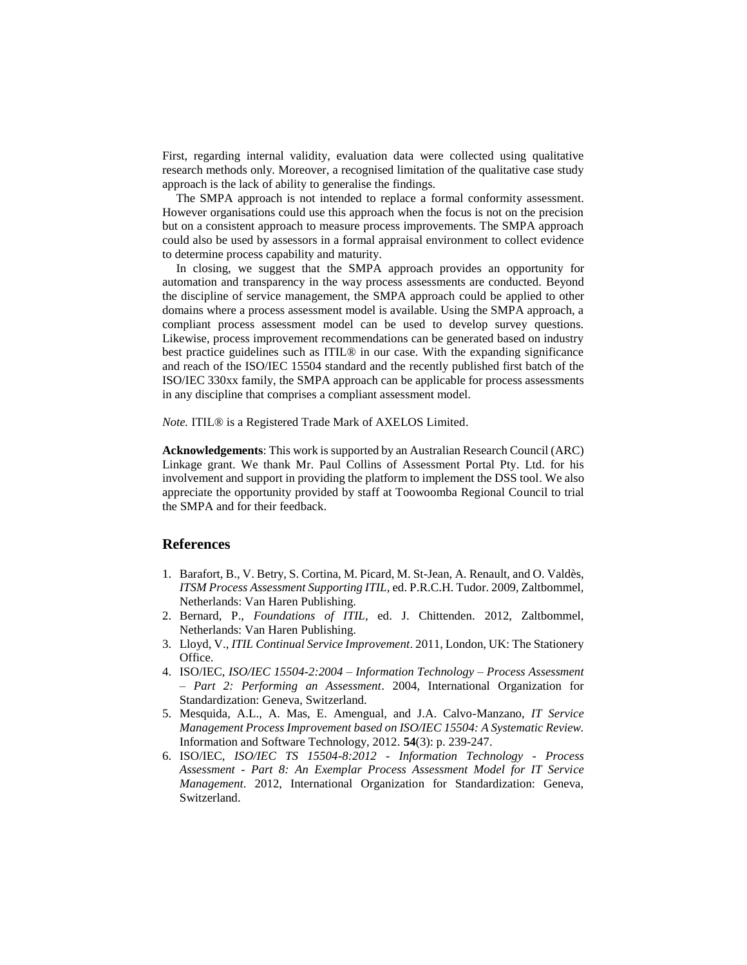First, regarding internal validity, evaluation data were collected using qualitative research methods only. Moreover, a recognised limitation of the qualitative case study approach is the lack of ability to generalise the findings.

The SMPA approach is not intended to replace a formal conformity assessment. However organisations could use this approach when the focus is not on the precision but on a consistent approach to measure process improvements. The SMPA approach could also be used by assessors in a formal appraisal environment to collect evidence to determine process capability and maturity.

In closing, we suggest that the SMPA approach provides an opportunity for automation and transparency in the way process assessments are conducted. Beyond the discipline of service management, the SMPA approach could be applied to other domains where a process assessment model is available. Using the SMPA approach, a compliant process assessment model can be used to develop survey questions. Likewise, process improvement recommendations can be generated based on industry best practice guidelines such as ITIL® in our case. With the expanding significance and reach of the ISO/IEC 15504 standard and the recently published first batch of the ISO/IEC 330xx family, the SMPA approach can be applicable for process assessments in any discipline that comprises a compliant assessment model.

*Note.* ITIL® is a Registered Trade Mark of AXELOS Limited.

**Acknowledgements**: This work is supported by an Australian Research Council (ARC) Linkage grant. We thank Mr. Paul Collins of Assessment Portal Pty. Ltd. for his involvement and support in providing the platform to implement the DSS tool. We also appreciate the opportunity provided by staff at Toowoomba Regional Council to trial the SMPA and for their feedback.

### **References**

- <span id="page-10-0"></span>1. Barafort, B., V. Betry, S. Cortina, M. Picard, M. St-Jean, A. Renault, and O. Valdès, *ITSM Process Assessment Supporting ITIL*, ed. P.R.C.H. Tudor. 2009, Zaltbommel, Netherlands: Van Haren Publishing.
- <span id="page-10-1"></span>2. Bernard, P., *Foundations of ITIL*, ed. J. Chittenden. 2012, Zaltbommel, Netherlands: Van Haren Publishing.
- <span id="page-10-2"></span>3. Lloyd, V., *ITIL Continual Service Improvement*. 2011, London, UK: The Stationery Office.
- <span id="page-10-3"></span>4. ISO/IEC, *ISO/IEC 15504-2:2004 – Information Technology – Process Assessment – Part 2: Performing an Assessment*. 2004, International Organization for Standardization: Geneva, Switzerland.
- <span id="page-10-4"></span>5. Mesquida, A.L., A. Mas, E. Amengual, and J.A. Calvo-Manzano, *IT Service Management Process Improvement based on ISO/IEC 15504: A Systematic Review.* Information and Software Technology, 2012. **54**(3): p. 239-247.
- <span id="page-10-5"></span>6. ISO/IEC, *ISO/IEC TS 15504-8:2012 - Information Technology - Process Assessment - Part 8: An Exemplar Process Assessment Model for IT Service Management*. 2012, International Organization for Standardization: Geneva, Switzerland.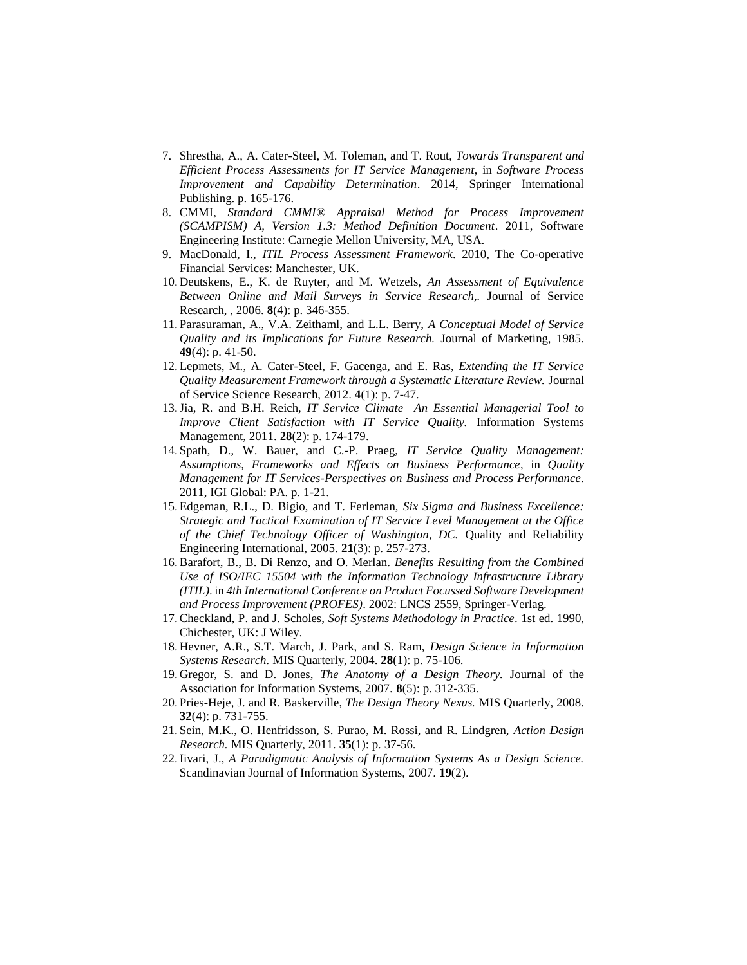- <span id="page-11-0"></span>7. Shrestha, A., A. Cater-Steel, M. Toleman, and T. Rout, *Towards Transparent and Efficient Process Assessments for IT Service Management*, in *Software Process Improvement and Capability Determination*. 2014, Springer International Publishing. p. 165-176.
- <span id="page-11-1"></span>8. CMMI, *Standard CMMI® Appraisal Method for Process Improvement (SCAMPISM) A, Version 1.3: Method Definition Document*. 2011, Software Engineering Institute: Carnegie Mellon University, MA, USA.
- <span id="page-11-2"></span>9. MacDonald, I., *ITIL Process Assessment Framework*. 2010, The Co-operative Financial Services: Manchester, UK.
- <span id="page-11-3"></span>10. Deutskens, E., K. de Ruyter, and M. Wetzels, *An Assessment of Equivalence Between Online and Mail Surveys in Service Research,.* Journal of Service Research, , 2006. **8**(4): p. 346-355.
- <span id="page-11-4"></span>11. Parasuraman, A., V.A. Zeithaml, and L.L. Berry, *A Conceptual Model of Service Quality and its Implications for Future Research.* Journal of Marketing, 1985. **49**(4): p. 41-50.
- <span id="page-11-5"></span>12. Lepmets, M., A. Cater-Steel, F. Gacenga, and E. Ras, *Extending the IT Service Quality Measurement Framework through a Systematic Literature Review.* Journal of Service Science Research, 2012. **4**(1): p. 7-47.
- <span id="page-11-6"></span>13.Jia, R. and B.H. Reich, *IT Service Climate—An Essential Managerial Tool to Improve Client Satisfaction with IT Service Quality.* Information Systems Management, 2011. **28**(2): p. 174-179.
- <span id="page-11-7"></span>14. Spath, D., W. Bauer, and C.-P. Praeg, *IT Service Quality Management: Assumptions, Frameworks and Effects on Business Performance*, in *Quality Management for IT Services-Perspectives on Business and Process Performance*. 2011, IGI Global: PA. p. 1-21.
- <span id="page-11-8"></span>15. Edgeman, R.L., D. Bigio, and T. Ferleman, *Six Sigma and Business Excellence: Strategic and Tactical Examination of IT Service Level Management at the Office of the Chief Technology Officer of Washington, DC.* Quality and Reliability Engineering International, 2005. **21**(3): p. 257-273.
- 16.Barafort, B., B. Di Renzo, and O. Merlan. *Benefits Resulting from the Combined Use of ISO/IEC 15504 with the Information Technology Infrastructure Library (ITIL)*. in *4th International Conference on Product Focussed Software Development and Process Improvement (PROFES)*. 2002: LNCS 2559, Springer-Verlag.
- <span id="page-11-9"></span>17.Checkland, P. and J. Scholes, *Soft Systems Methodology in Practice*. 1st ed. 1990, Chichester, UK: J Wiley.
- <span id="page-11-10"></span>18. Hevner, A.R., S.T. March, J. Park, and S. Ram, *Design Science in Information Systems Research.* MIS Quarterly, 2004. **28**(1): p. 75-106.
- <span id="page-11-11"></span>19. Gregor, S. and D. Jones, *The Anatomy of a Design Theory.* Journal of the Association for Information Systems, 2007. **8**(5): p. 312-335.
- <span id="page-11-12"></span>20. Pries-Heje, J. and R. Baskerville, *The Design Theory Nexus.* MIS Quarterly, 2008. **32**(4): p. 731-755.
- <span id="page-11-13"></span>21. Sein, M.K., O. Henfridsson, S. Purao, M. Rossi, and R. Lindgren, *Action Design Research.* MIS Quarterly, 2011. **35**(1): p. 37-56.
- <span id="page-11-14"></span>22.Iivari, J., *A Paradigmatic Analysis of Information Systems As a Design Science.* Scandinavian Journal of Information Systems, 2007. **19**(2).